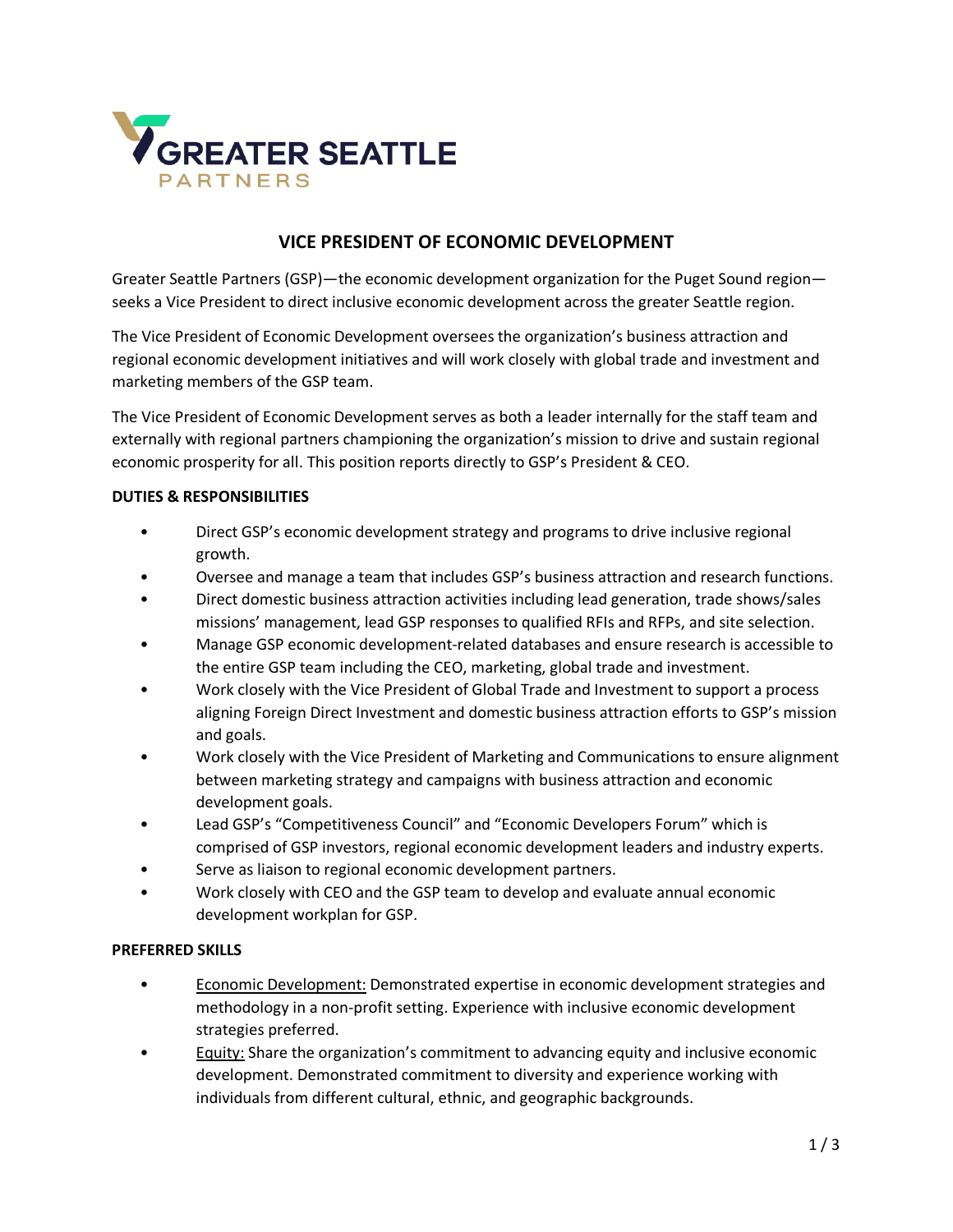

# **VICE PRESIDENT OF ECONOMIC DEVELOPMENT**

Greater Seattle Partners (GSP)—the economic development organization for the Puget Sound region seeks a Vice President to direct inclusive economic development across the greater Seattle region.

The Vice President of Economic Development oversees the organization's business attraction and regional economic development initiatives and will work closely with global trade and investment and marketing members of the GSP team.

The Vice President of Economic Development serves as both a leader internally for the staff team and externally with regional partners championing the organization's mission to drive and sustain regional economic prosperity for all. This position reports directly to GSP's President & CEO.

### **DUTIES & RESPONSIBILITIES**

- Direct GSP's economic development strategy and programs to drive inclusive regional growth.
- Oversee and manage a team that includes GSP's business attraction and research functions.
- Direct domestic business attraction activities including lead generation, trade shows/sales missions' management, lead GSP responses to qualified RFIs and RFPs, and site selection.
- Manage GSP economic development-related databases and ensure research is accessible to the entire GSP team including the CEO, marketing, global trade and investment.
- Work closely with the Vice President of Global Trade and Investment to support a process aligning Foreign Direct Investment and domestic business attraction efforts to GSP's mission and goals.
- Work closely with the Vice President of Marketing and Communications to ensure alignment between marketing strategy and campaigns with business attraction and economic development goals.
- Lead GSP's "Competitiveness Council" and "Economic Developers Forum" which is comprised of GSP investors, regional economic development leaders and industry experts.
- Serve as liaison to regional economic development partners.
- Work closely with CEO and the GSP team to develop and evaluate annual economic development workplan for GSP.

### **PREFERRED SKILLS**

- Economic Development: Demonstrated expertise in economic development strategies and methodology in a non-profit setting. Experience with inclusive economic development strategies preferred.
- Equity: Share the organization's commitment to advancing equity and inclusive economic development. Demonstrated commitment to diversity and experience working with individuals from different cultural, ethnic, and geographic backgrounds.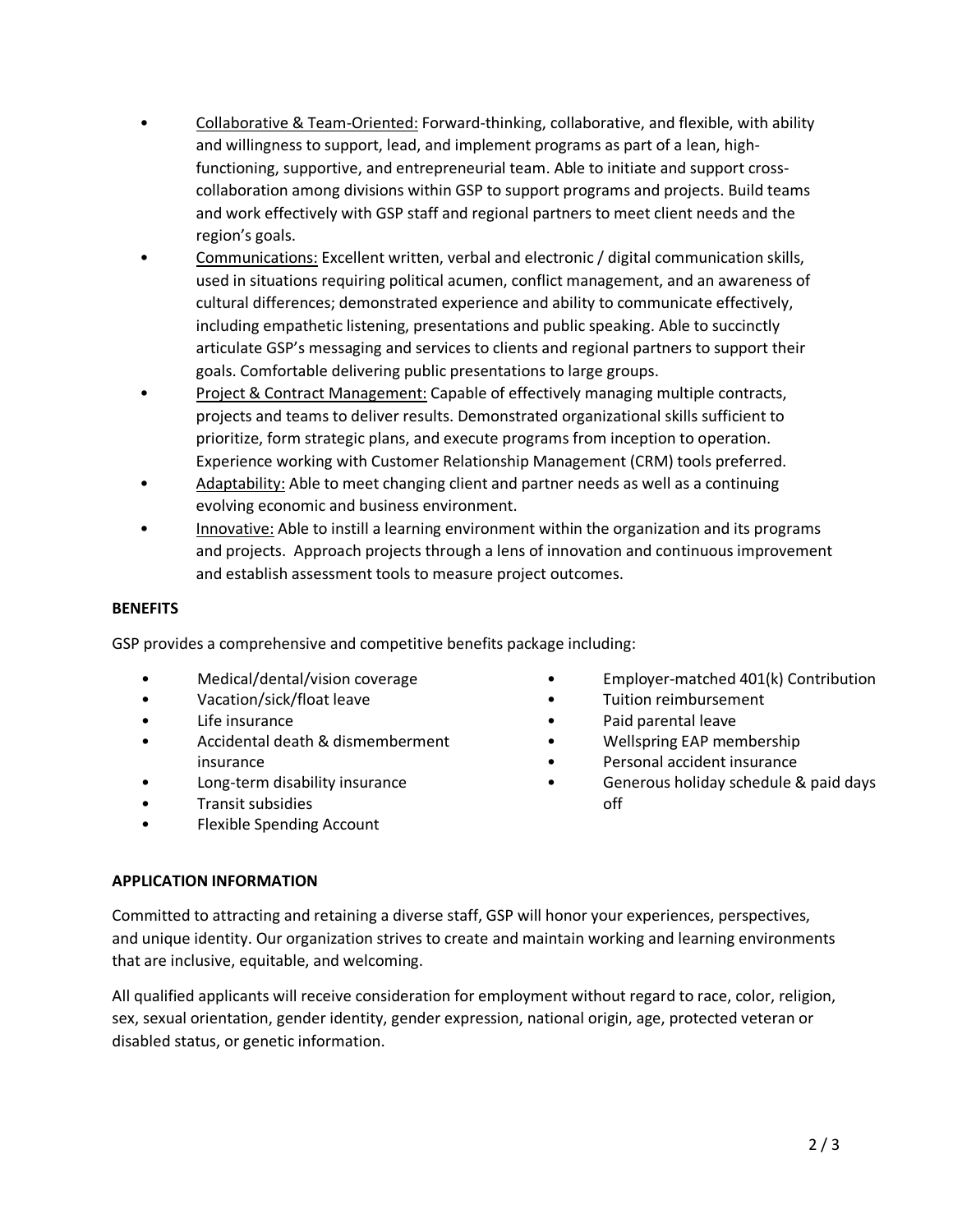- Collaborative & Team-Oriented: Forward-thinking, collaborative, and flexible, with ability and willingness to support, lead, and implement programs as part of a lean, highfunctioning, supportive, and entrepreneurial team. Able to initiate and support crosscollaboration among divisions within GSP to support programs and projects. Build teams and work effectively with GSP staff and regional partners to meet client needs and the region's goals.
- Communications: Excellent written, verbal and electronic / digital communication skills, used in situations requiring political acumen, conflict management, and an awareness of cultural differences; demonstrated experience and ability to communicate effectively, including empathetic listening, presentations and public speaking. Able to succinctly articulate GSP's messaging and services to clients and regional partners to support their goals. Comfortable delivering public presentations to large groups.
- Project & Contract Management: Capable of effectively managing multiple contracts, projects and teams to deliver results. Demonstrated organizational skills sufficient to prioritize, form strategic plans, and execute programs from inception to operation. Experience working with Customer Relationship Management (CRM) tools preferred.
- Adaptability: Able to meet changing client and partner needs as well as a continuing evolving economic and business environment.
- Innovative: Able to instill a learning environment within the organization and its programs and projects. Approach projects through a lens of innovation and continuous improvement and establish assessment tools to measure project outcomes.

## **BENEFITS**

GSP provides a comprehensive and competitive benefits package including:

- Medical/dental/vision coverage
- Vacation/sick/float leave
- Life insurance
- Accidental death & dismemberment insurance
- Long-term disability insurance
- Transit subsidies
- Flexible Spending Account
- Employer-matched 401(k) Contribution
- Tuition reimbursement
- Paid parental leave
- Wellspring EAP membership
- Personal accident insurance
- Generous holiday schedule & paid days off

# **APPLICATION INFORMATION**

Committed to attracting and retaining a diverse staff, GSP will honor your experiences, perspectives, and unique identity. Our organization strives to create and maintain working and learning environments that are inclusive, equitable, and welcoming.

All qualified applicants will receive consideration for employment without regard to race, color, religion, sex, sexual orientation, gender identity, gender expression, national origin, age, protected veteran or disabled status, or genetic information.